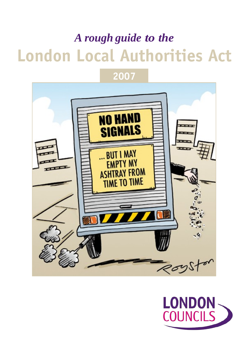# *A rough guide to the* **London Local Authorities Act**



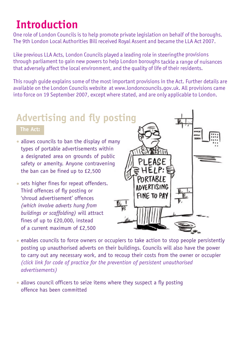## **Introduction**

One role of London Councils is to help promote private legislation on behalf of the boroughs. The 9th London Local Authorities Bill received Royal Assent and became the LLA Act 2007.

Like previous LLA Acts, London Councils played a leading role in steeringthe provisions through parliament to gain new powers to help London boroughs tackle a range of nuisances that adversely affect the local environment, and the quality of life of their residents.

This rough guide explains some of the most important provisions in the Act. Further details are available on the London Councils website at www.londoncouncils.gov.uk. All provisions came into force on 19 September 2007, except where stated, and are only applicable to London.

### **Advertising and fly posting**

#### **The Act:**

- allows councils to ban the display of many types of portable advertisements within a designated area on grounds of public safety or amenity. Anyone contravening the ban can be fined up to £2,500
- sets higher fines for repeat offenders. Third offences of fly posting or 'shroud advertisement' offences *(which involve adverts hung from buildings or scaffolding)* will attract fines of up to £20,000, instead of a current maximum of £2,500



- enables councils to force owners or occupiers to take action to stop people persistently posting up unauthorised adverts on their buildings. Councils will also have the power to carry out any necessary work, and to recoup their costs from the owner or occupier *[\(click link for code of practice for the prevention of persistent unauthorised](http://www.londoncouncils.gov.uk/download/file/fid/2444)  [advertisements\)](http://www.londoncouncils.gov.uk/download/file/fid/2444)*
- allows council officers to seize items where they suspect a fly posting offence has been committed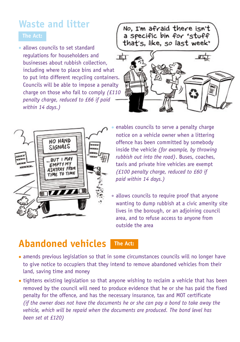### **Waste and litter**

• allows councils to set standard regulations for householders and businesses about rubbish collection, including where to place bins and what to put into different recycling containers. Councils will be able to impose a penalty charge on those who fail to comply *(£110 penalty charge, reduced to £66 if paid within 14 days.)*







enables councils to serve a penalty charge notice on a vehicle owner when a littering offence has been committed by somebody inside the vehicle *(for example, by throwing rubbish out into the road)*. Buses, coaches, taxis and private hire vehicles are exempt *(£100 penalty charge, reduced to £60 if paid within 14 days.)*

• allows councils to require proof that anyone wanting to dump rubbish at a civic amenity site lives in the borough, or an adjoining council area, and to refuse access to anyone from outside the area

### **Abandoned vehicles The Act:**

- amends previous legislation so that in some circumstances councils will no longer have to give notice to occupiers that they intend to remove abandoned vehicles from their land, saving time and money
- tightens existing legislation so that anyone wishing to reclaim a vehicle that has been removed by the council will need to produce evidence that he or she has paid the fixed penalty for the offence, and has the necessary insurance, tax and MOT certificate *(if the owner does not have the documents he or she can pay a bond to take away the vehicle, which will be repaid when the documents are produced. The bond level has been set at £120)*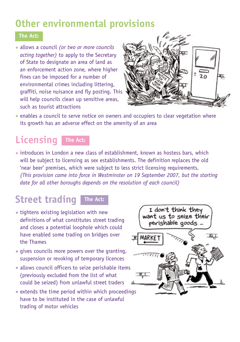### **Other environmental provisions**

### **The Act:**

• allows a council *(or two or more councils acting together)* to apply to the Secretary of State to designate an area of land as an enforcement action zone, where higher fines can be imposed for a number of environmental crimes including littering, graffiti, noise nuisance and fly posting. This will help councils clean up sensitive areas, such as tourist attractions



• enables a council to serve notice on owners and occupiers to clear vegetation where its growth has an adverse effect on the amenity of an area

### **Licensing The Act:**



• introduces in London a new class of establishment, known as hostess bars, which will be subject to licensing as sex establishments. The definition replaces the old 'near beer' premises, which were subject to less strict licensing requirements. *(This provision came into force in Westminster on 19 September 2007, but the starting date for all other boroughs depends on the resolution of each council)*

### **Street trading The Act:**

- tightens existing legislation with new definitions of what constitutes street trading and closes a potential loophole which could have enabled some trading on bridges over the Thames
- gives councils more powers over the granting, suspension or revoking of temporary licences
- allows council officers to seize perishable items (previously excluded from the list of what could be seized) from unlawful street traders
- extends the time period within which proceedings have to be instituted in the case of unlawful trading of motor vehicles

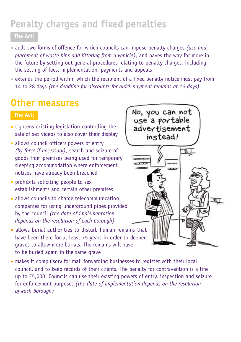### **Penalty charges and fixed penalties**

### **The Act:**

- adds two forms of offence for which councils can impose penalty charges *(use and placement of waste bins and littering from a vehicle)*, and paves the way for more in the future by setting out general procedures relating to penalty charges, including the setting of fees, implementation, payments and appeals
- extends the period within which the recipient of a fixed penalty notice must pay from 14 to 28 days *(the deadline for discounts for quick payment remains at 14 days)*

### **Other measures**

#### **The Act:**

- tightens existing legislation controlling the sale of sex videos to also cover their display
- allows council officers powers of entry *(by force if necessary)*, search and seizure of goods from premises being used for temporary sleeping accommodation where enforcement notices have already been breached
- prohibits soliciting people to sex establishments and certain other premises
- allows councils to charge telecommunication companies for using underground pipes provided by the council *(the date of implementation depends on the resolution of each borough)*
- allows burial authorities to disturb human remains that have been there for at least 75 years in order to deepen graves to allow more burials. The remains will have to be buried again in the same grave
- makes it compulsory for mail forwarding businesses to register with their local council, and to keep records of their clients. The penalty for contravention is a fine up to £5,000. Councils can use their existing powers of entry, inspection and seizure for enforcement purposes *(the date of implementation depends on the resolution of each borough)*